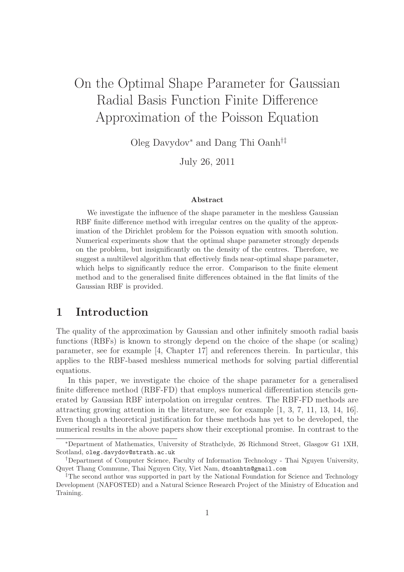# On the Optimal Shape Parameter for Gaussian Radial Basis Function Finite Difference Approximation of the Poisson Equation

Oleg Davydov<sup>∗</sup> and Dang Thi Oanh†‡

July 26, 2011

#### Abstract

We investigate the influence of the shape parameter in the meshless Gaussian RBF finite difference method with irregular centres on the quality of the approximation of the Dirichlet problem for the Poisson equation with smooth solution. Numerical experiments show that the optimal shape parameter strongly depends on the problem, but insignificantly on the density of the centres. Therefore, we suggest a multilevel algorithm that effectively finds near-optimal shape parameter, which helps to significantly reduce the error. Comparison to the finite element method and to the generalised finite differences obtained in the flat limits of the Gaussian RBF is provided.

## 1 Introduction

The quality of the approximation by Gaussian and other infinitely smooth radial basis functions (RBFs) is known to strongly depend on the choice of the shape (or scaling) parameter, see for example [4, Chapter 17] and references therein. In particular, this applies to the RBF-based meshless numerical methods for solving partial differential equations.

In this paper, we investigate the choice of the shape parameter for a generalised finite difference method (RBF-FD) that employs numerical differentiation stencils generated by Gaussian RBF interpolation on irregular centres. The RBF-FD methods are attracting growing attention in the literature, see for example [1, 3, 7, 11, 13, 14, 16]. Even though a theoretical justification for these methods has yet to be developed, the numerical results in the above papers show their exceptional promise. In contrast to the

<sup>∗</sup>Department of Mathematics, University of Strathclyde, 26 Richmond Street, Glasgow G1 1XH, Scotland, oleg.davydov@strath.ac.uk

<sup>†</sup>Department of Computer Science, Faculty of Information Technology - Thai Nguyen University, Quyet Thang Commune, Thai Nguyen City, Viet Nam, dtoanhtn@gmail.com

<sup>&</sup>lt;sup>‡</sup>The second author was supported in part by the National Foundation for Science and Technology Development (NAFOSTED) and a Natural Science Research Project of the Ministry of Education and Training.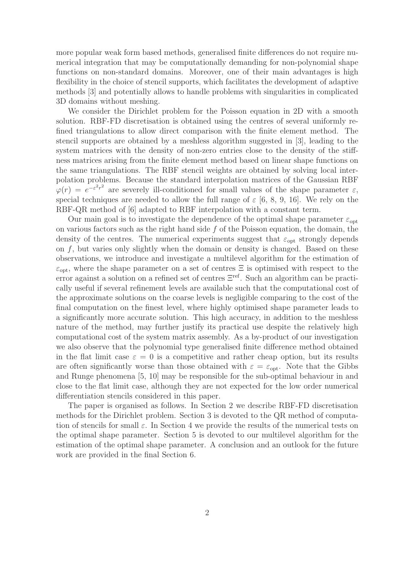more popular weak form based methods, generalised finite differences do not require numerical integration that may be computationally demanding for non-polynomial shape functions on non-standard domains. Moreover, one of their main advantages is high flexibility in the choice of stencil supports, which facilitates the development of adaptive methods [3] and potentially allows to handle problems with singularities in complicated 3D domains without meshing.

We consider the Dirichlet problem for the Poisson equation in 2D with a smooth solution. RBF-FD discretisation is obtained using the centres of several uniformly refined triangulations to allow direct comparison with the finite element method. The stencil supports are obtained by a meshless algorithm suggested in [3], leading to the system matrices with the density of non-zero entries close to the density of the stiffness matrices arising from the finite element method based on linear shape functions on the same triangulations. The RBF stencil weights are obtained by solving local interpolation problems. Because the standard interpolation matrices of the Gaussian RBF  $\varphi(r) = e^{-\varepsilon^2 r^2}$  are severely ill-conditioned for small values of the shape parameter  $\varepsilon$ , special techniques are needed to allow the full range of  $\varepsilon$  [6, 8, 9, 16]. We rely on the RBF-QR method of [6] adapted to RBF interpolation with a constant term.

Our main goal is to investigate the dependence of the optimal shape parameter  $\varepsilon_{\text{opt}}$ on various factors such as the right hand side  $f$  of the Poisson equation, the domain, the density of the centres. The numerical experiments suggest that  $\varepsilon_{opt}$  strongly depends on  $f$ , but varies only slightly when the domain or density is changed. Based on these observations, we introduce and investigate a multilevel algorithm for the estimation of  $\varepsilon_{\text{opt}}$ , where the shape parameter on a set of centres  $\Xi$  is optimised with respect to the error against a solution on a refined set of centres Ξref. Such an algorithm can be practically useful if several refinement levels are available such that the computational cost of the approximate solutions on the coarse levels is negligible comparing to the cost of the final computation on the finest level, where highly optimised shape parameter leads to a significantly more accurate solution. This high accuracy, in addition to the meshless nature of the method, may further justify its practical use despite the relatively high computational cost of the system matrix assembly. As a by-product of our investigation we also observe that the polynomial type generalised finite difference method obtained in the flat limit case  $\varepsilon = 0$  is a competitive and rather cheap option, but its results are often significantly worse than those obtained with  $\varepsilon = \varepsilon_{opt}$ . Note that the Gibbs and Runge phenomena [5, 10] may be responsible for the sub-optimal behaviour in and close to the flat limit case, although they are not expected for the low order numerical differentiation stencils considered in this paper.

The paper is organised as follows. In Section 2 we describe RBF-FD discretisation methods for the Dirichlet problem. Section 3 is devoted to the QR method of computation of stencils for small  $\varepsilon$ . In Section 4 we provide the results of the numerical tests on the optimal shape parameter. Section 5 is devoted to our multilevel algorithm for the estimation of the optimal shape parameter. A conclusion and an outlook for the future work are provided in the final Section 6.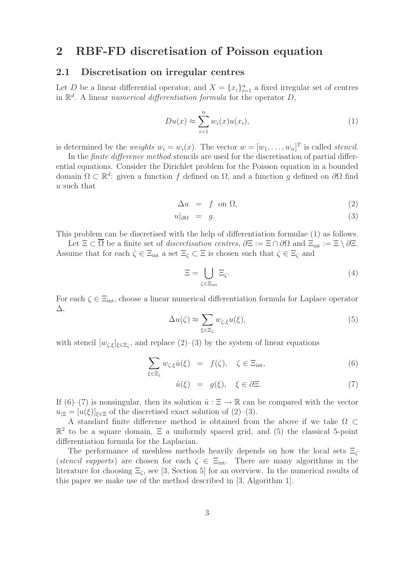# 2 RBF-FD discretisation of Poisson equation

#### 2.1 Discretisation on irregular centres

Let D be a linear differential operator, and  $X = \{x_i\}_{i=1}^n$  a fixed irregular set of centres in  $\mathbb{R}^d$ . A linear *numerical differentiation formula* for the operator  $D$ ,

$$
Du(x) \approx \sum_{i=1}^{n} w_i(x)u(x_i), \qquad (1)
$$

is determined by the *weights*  $w_i = w_i(x)$ . The vector  $w = [w_1, \ldots, w_n]^T$  is called *stencil*.

In the *finite difference method* stencils are used for the discretisation of partial differential equations. Consider the Dirichlet problem for the Poisson equation in a bounded domain  $\Omega \subset \mathbb{R}^d$ : given a function f defined on  $\Omega$ , and a function g defined on  $\partial\Omega$  find u such that

$$
\Delta u = f \text{ on } \Omega,\tag{2}
$$

$$
u|_{\partial\Omega} = g. \tag{3}
$$

This problem can be discretised with the help of differentiation formulae (1) as follows.

Let  $\Xi \subset \overline{\Omega}$  be a finite set of *discretisation centres*,  $\partial \Xi := \Xi \cap \partial \Omega$  and  $\Xi_{int} := \Xi \setminus \partial \Xi$ . Assume that for each  $\zeta \in \Xi_{int}$  a set  $\Xi_{\zeta} \subset \Xi$  is chosen such that  $\zeta \in \Xi_{\zeta}$  and

$$
\Xi = \bigcup_{\zeta \in \Xi_{\text{int}}} \Xi_{\zeta}.\tag{4}
$$

For each  $\zeta \in \Xi_{\text{int}}$ , choose a linear numerical differentiation formula for Laplace operator ∆,

$$
\Delta u(\zeta) \approx \sum_{\xi \in \Xi_{\zeta}} w_{\zeta,\xi} u(\xi),\tag{5}
$$

with stencil  $[w_{\zeta,\xi}]_{\xi \in \Xi_{\zeta}}$ , and replace  $(2)-(3)$  by the system of linear equations

$$
\sum_{\xi \in \Xi_{\zeta}} w_{\zeta,\xi} \hat{u}(\xi) = f(\zeta), \quad \zeta \in \Xi_{\text{int}}, \tag{6}
$$

$$
\hat{u}(\xi) = g(\xi), \quad \xi \in \partial \Xi. \tag{7}
$$

If (6)–(7) is nonsingular, then its solution  $\hat{u} : \Xi \to \mathbb{R}$  can be compared with the vector  $u_{\text{E}} = [u(\xi)]_{\xi \in \Xi}$  of the discretised exact solution of (2)–(3).

A standard finite difference method is obtained from the above if we take Ω ⊂  $\mathbb{R}^2$  to be a square domain,  $\Xi$  a uniformly spaced grid, and (5) the classical 5-point differentiation formula for the Laplacian.

The performance of meshless methods heavily depends on how the local sets  $\Xi_c$ (*stencil supports*) are chosen for each  $\zeta \in \Xi_{int}$ . There are many algorithms in the literature for choosing  $\Xi_{\zeta}$ , see [3, Section 5] for an overview. In the numerical results of this paper we make use of the method described in [3, Algorithm 1].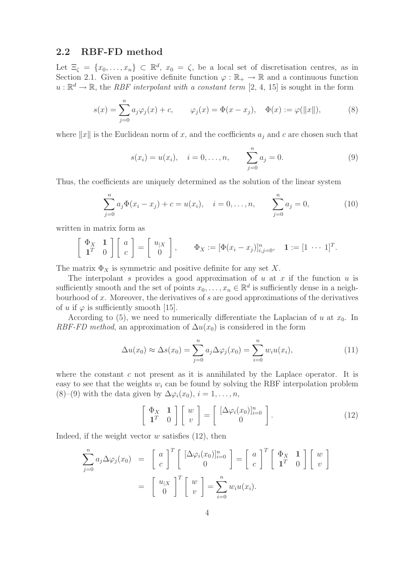### 2.2 RBF-FD method

Let  $\Xi_{\zeta} = \{x_0, \ldots, x_n\} \subset \mathbb{R}^d$ ,  $x_0 = \zeta$ , be a local set of discretisation centres, as in Section 2.1. Given a positive definite function  $\varphi : \mathbb{R}_+ \to \mathbb{R}$  and a continuous function  $u: \mathbb{R}^d \to \mathbb{R}$ , the *RBF interpolant with a constant term* [2, 4, 15] is sought in the form

$$
s(x) = \sum_{j=0}^{n} a_j \varphi_j(x) + c, \qquad \varphi_j(x) = \Phi(x - x_j), \quad \Phi(x) := \varphi(||x||),
$$
 (8)

where  $||x||$  is the Euclidean norm of x, and the coefficients  $a_i$  and c are chosen such that

$$
s(x_i) = u(x_i), \quad i = 0, ..., n, \qquad \sum_{j=0}^{n} a_j = 0.
$$
 (9)

Thus, the coefficients are uniquely determined as the solution of the linear system

$$
\sum_{j=0}^{n} a_j \Phi(x_i - x_j) + c = u(x_i), \quad i = 0, \dots, n, \qquad \sum_{j=0}^{n} a_j = 0,
$$
 (10)

written in matrix form as

$$
\left[\begin{array}{cc} \Phi_X & \mathbf{1} \\ \mathbf{1}^T & 0 \end{array}\right] \left[\begin{array}{c} a \\ c \end{array}\right] = \left[\begin{array}{c} u_{|X} \\ 0 \end{array}\right], \qquad \Phi_X := \left[\Phi(x_i - x_j)\right]_{i,j=0}^n, \quad \mathbf{1} := \left[1 \cdots 1\right]^T.
$$

The matrix  $\Phi_X$  is symmetric and positive definite for any set X.

The interpolant s provides a good approximation of u at x if the function u is sufficiently smooth and the set of points  $x_0, \ldots, x_n \in \mathbb{R}^d$  is sufficiently dense in a neighbourhood of  $x$ . Moreover, the derivatives of  $s$  are good approximations of the derivatives of u if  $\varphi$  is sufficiently smooth [15].

According to (5), we need to numerically differentiate the Laplacian of u at  $x_0$ . In *RBF-FD method*, an approximation of  $\Delta u(x_0)$  is considered in the form

$$
\Delta u(x_0) \approx \Delta s(x_0) = \sum_{j=0}^n a_j \Delta \varphi_j(x_0) = \sum_{i=0}^n w_i u(x_i), \qquad (11)
$$

where the constant  $c$  not present as it is annihilated by the Laplace operator. It is easy to see that the weights  $w_i$  can be found by solving the RBF interpolation problem (8)–(9) with the data given by  $\Delta\varphi_i(x_0), i=1,\ldots,n$ ,

$$
\left[\begin{array}{cc} \Phi_X & \mathbf{1} \\ \mathbf{1}^T & 0 \end{array}\right] \left[\begin{array}{c} w \\ v \end{array}\right] = \left[\begin{array}{c} [\Delta \varphi_i(x_0)]_{i=0}^n \\ 0 \end{array}\right]. \tag{12}
$$

Indeed, if the weight vector  $w$  satisfies  $(12)$ , then

$$
\sum_{j=0}^{n} a_j \Delta \varphi_j(x_0) = \begin{bmatrix} a \\ c \end{bmatrix}^T \begin{bmatrix} [\Delta \varphi_i(x_0)]_{i=0}^n \\ 0 \end{bmatrix} = \begin{bmatrix} a \\ c \end{bmatrix}^T \begin{bmatrix} \Phi_X & \mathbf{1} \\ \mathbf{1}^T & 0 \end{bmatrix} \begin{bmatrix} w \\ v \end{bmatrix}
$$

$$
= \begin{bmatrix} u_{|X} \\ 0 \end{bmatrix}^T \begin{bmatrix} w \\ v \end{bmatrix} = \sum_{i=0}^{n} w_i u(x_i).
$$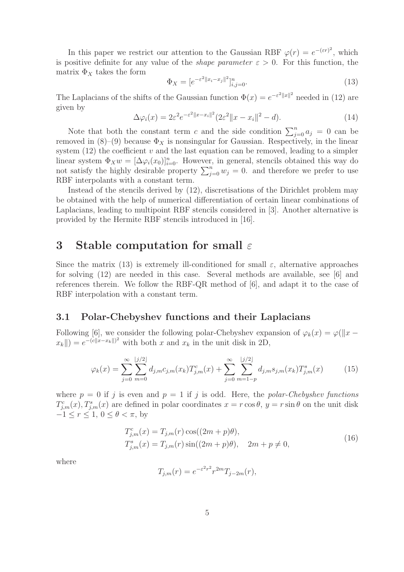In this paper we restrict our attention to the Gaussian RBF  $\varphi(r) = e^{-(\varepsilon r)^2}$ , which is positive definite for any value of the *shape parameter*  $\varepsilon > 0$ . For this function, the matrix  $\Phi_X$  takes the form

$$
\Phi_X = [e^{-\varepsilon^2 ||x_i - x_j||^2}]_{i,j=0}^n.
$$
\n(13)

The Laplacians of the shifts of the Gaussian function  $\Phi(x) = e^{-\varepsilon^2 ||x||^2}$  needed in (12) are given by

$$
\Delta \varphi_i(x) = 2\varepsilon^2 e^{-\varepsilon^2 ||x - x_i||^2} (2\varepsilon^2 ||x - x_i||^2 - d). \tag{14}
$$

Note that both the constant term c and the side condition  $\sum_{j=0}^{n} a_j = 0$  can be removed in  $(8)-(9)$  because  $\Phi_X$  is nonsingular for Gaussian. Respectively, in the linear system  $(12)$  the coefficient v and the last equation can be removed, leading to a simpler linear system  $\Phi_X w = [\Delta \varphi_i(x_0)]_{i=0}^n$ . However, in general, stencils obtained this way do not satisfy the highly desirable property  $\sum_{j=0}^{n} w_j = 0$ . and therefore we prefer to use RBF interpolants with a constant term.

Instead of the stencils derived by (12), discretisations of the Dirichlet problem may be obtained with the help of numerical differentiation of certain linear combinations of Laplacians, leading to multipoint RBF stencils considered in [3]. Another alternative is provided by the Hermite RBF stencils introduced in [16].

### 3 Stable computation for small  $\varepsilon$

Since the matrix (13) is extremely ill-conditioned for small  $\varepsilon$ , alternative approaches for solving (12) are needed in this case. Several methods are available, see [6] and references therein. We follow the RBF-QR method of [6], and adapt it to the case of RBF interpolation with a constant term.

### 3.1 Polar-Chebyshev functions and their Laplacians

Following [6], we consider the following polar-Chebyshev expansion of  $\varphi_k(x) = \varphi(||x - y||)$  $||x_k|| = e^{-(c||x-x_k||)^2}$  with both x and  $x_k$  in the unit disk in 2D,

$$
\varphi_k(x) = \sum_{j=0}^{\infty} \sum_{m=0}^{\lfloor j/2 \rfloor} d_{j,m} c_{j,m}(x_k) T_{j,m}^c(x) + \sum_{j=0}^{\infty} \sum_{m=1-p}^{\lfloor j/2 \rfloor} d_{j,m} s_{j,m}(x_k) T_{j,m}^s(x)
$$
(15)

where  $p = 0$  if j is even and  $p = 1$  if j is odd. Here, the *polar-Chebyshev functions*  $T_{j,m}^c(x)$ ,  $T_{j,m}^s(x)$  are defined in polar coordinates  $x = r \cos \theta$ ,  $y = r \sin \theta$  on the unit disk  $-1 \leq r \leq 1, 0 \leq \theta < \pi$ , by

$$
T_{j,m}^{c}(x) = T_{j,m}(r) \cos((2m+p)\theta),
$$
  
\n
$$
T_{j,m}^{s}(x) = T_{j,m}(r) \sin((2m+p)\theta), \quad 2m+p \neq 0,
$$
\n(16)

where

$$
T_{j,m}(r) = e^{-\varepsilon^2 r^2} r^{2m} T_{j-2m}(r),
$$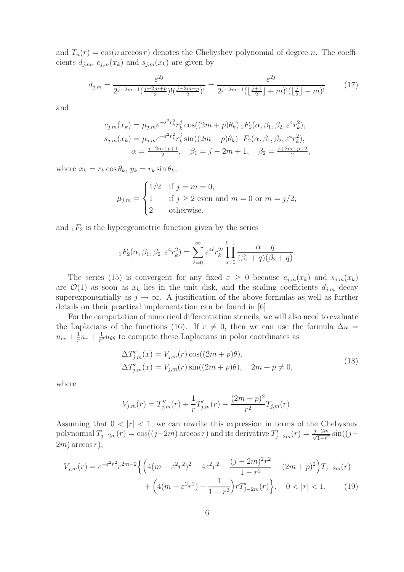and  $T_n(r) = \cos(n \arccos r)$  denotes the Chebyshev polynomial of degree n. The coefficients  $d_{j,m}$ ,  $c_{j,m}(x_k)$  and  $s_{j,m}(x_k)$  are given by

$$
d_{j,m} = \frac{\varepsilon^{2j}}{2^{j-2m-1}\left(\frac{j+2m+p}{2}\right)!\left(\frac{j-2m-p}{2}\right)!} = \frac{\varepsilon^{2j}}{2^{j-2m-1}\left(\left\lfloor\frac{j+1}{2}\right\rfloor + m\right)!\left(\left\lfloor\frac{j}{2}\right\rfloor - m\right)!}
$$
(17)

,

and

$$
c_{j,m}(x_k) = \mu_{j,m} e^{-\varepsilon^2 r_k^2} r_k^j \cos((2m+p)\theta_k) \, {}_1F_2(\alpha, \beta_1, \beta_2, \varepsilon^4 r_k^2),
$$
  
\n
$$
s_{j,m}(x_k) = \mu_{j,m} e^{-\varepsilon^2 r_k^2} r_k^j \sin((2m+p)\theta_k) \, {}_1F_2(\alpha, \beta_1, \beta_2, \varepsilon^4 r_k^2),
$$
  
\n
$$
\alpha = \frac{j - 2m + p + 1}{2}, \quad \beta_1 = j - 2m + 1, \quad \beta_2 = \frac{j + 2m + p + 2}{2}
$$

where  $x_k = r_k \cos \theta_k$ ,  $y_k = r_k \sin \theta_k$ ,

$$
\mu_{j,m} = \begin{cases}\n1/2 & \text{if } j = m = 0, \\
1 & \text{if } j \ge 2 \text{ even and } m = 0 \text{ or } m = j/2, \\
2 & \text{otherwise,} \n\end{cases}
$$

and  $_1F_2$  is the hypergeometric function given by the series

$$
{}_{1}F_{2}(\alpha,\beta_{1},\beta_{2},\varepsilon^{4}r_{k}^{2}) = \sum_{\ell=0}^{\infty} \varepsilon^{4\ell} r_{k}^{2\ell} \prod_{q=0}^{\ell-1} \frac{\alpha+q}{(\beta_{1}+q)(\beta_{2}+q)}.
$$

The series (15) is convergent for any fixed  $\varepsilon \geq 0$  because  $c_{j,m}(x_k)$  and  $s_{j,m}(x_k)$ are  $\mathcal{O}(1)$  as soon as  $x_k$  lies in the unit disk, and the scaling coefficients  $d_{j,m}$  decay superexponentially as  $j \to \infty$ . A justification of the above formulas as well as further details on their practical implementation can be found in [6].

For the computation of numerical differentiation stencils, we will also need to evaluate the Laplacians of the functions (16). If  $r \neq 0$ , then we can use the formula  $\Delta u =$  $u_{rr} + \frac{1}{r}$  $\frac{1}{r}u_r + \frac{1}{r^2}$  $\frac{1}{r^2}u_{\theta\theta}$  to compute these Laplacians in polar coordinates as

$$
\Delta T_{j,m}^c(x) = V_{j,m}(r) \cos((2m+p)\theta),
$$
  
\n
$$
\Delta T_{j,m}^s(x) = V_{j,m}(r) \sin((2m+p)\theta), \quad 2m+p \neq 0,
$$
\n(18)

where

$$
V_{j,m}(r) = T''_{j,m}(r) + \frac{1}{r}T'_{j,m}(r) - \frac{(2m+p)^2}{r^2}T_{j,m}(r).
$$

Assuming that  $0 < |r| < 1$ , we can rewrite this expression in terms of the Chebyshev polynomial  $T_{j-2m}(r) = \cos((j-2m) \arccos r)$  and its derivative  $T'_{j-2m}(r) = \frac{j-2m}{\sqrt{1-r^2}}$  $\frac{-2m}{1-r^2}\sin((j-\frac{1}{r^2}))$  $2m$ ) arccos r),

$$
V_{j,m}(r) = e^{-\varepsilon^2 r^2} r^{2m-2} \left\{ \left( 4(m - \varepsilon^2 r^2)^2 - 4\varepsilon^2 r^2 - \frac{(j - 2m)^2 r^2}{1 - r^2} - (2m + p)^2 \right) T_{j-2m}(r) + \left( 4(m - \varepsilon^2 r^2) + \frac{1}{1 - r^2} \right) r T'_{j-2m}(r) \right\}, \quad 0 < |r| < 1. \tag{19}
$$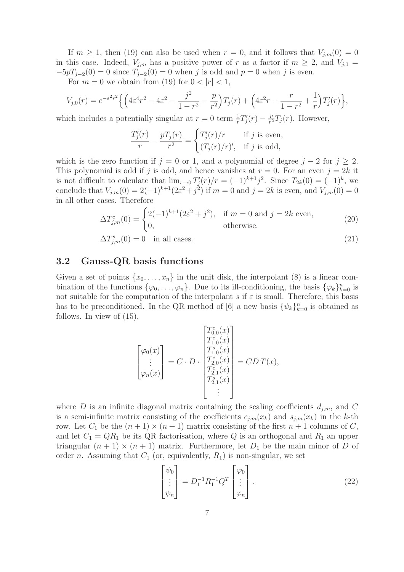If  $m \geq 1$ , then (19) can also be used when  $r = 0$ , and it follows that  $V_{j,m}(0) = 0$ in this case. Indeed,  $V_{j,m}$  has a positive power of r as a factor if  $m \geq 2$ , and  $V_{j,1} =$  $-5pT_{j-2}(0) = 0$  since  $T_{j-2}(0) = 0$  when j is odd and  $p = 0$  when j is even.

For  $m = 0$  we obtain from (19) for  $0 < |r| < 1$ ,

$$
V_{j,0}(r) = e^{-\varepsilon^2 r^2} \left\{ \left( 4\varepsilon^4 r^2 - 4\varepsilon^2 - \frac{j^2}{1 - r^2} - \frac{p}{r^2} \right) T_j(r) + \left( 4\varepsilon^2 r + \frac{r}{1 - r^2} + \frac{1}{r} \right) T'_j(r) \right\},\,
$$

which includes a potentially singular at  $r = 0$  term  $\frac{1}{r}T'_j(r) - \frac{p}{r^2}$  $\frac{p}{r^2}T_j(r)$ . However,

$$
\frac{T_j'(r)}{r} - \frac{pT_j(r)}{r^2} = \begin{cases} T_j'(r)/r & \text{if } j \text{ is even,} \\ (T_j(r)/r)', & \text{if } j \text{ is odd,} \end{cases}
$$

which is the zero function if  $j = 0$  or 1, and a polynomial of degree  $j - 2$  for  $j \geq 2$ . This polynomial is odd if j is odd, and hence vanishes at  $r = 0$ . For an even  $j = 2k$  it is not difficult to calculate that  $\lim_{r\to 0} T'_{j}(r)/r = (-1)^{k+1}j^{2}$ . Since  $T_{2k}(0) = (-1)^{k}$ , we conclude that  $V_{j,m}(0) = 2(-1)^{k+1}(2\varepsilon^2 + j^2)$  if  $m = 0$  and  $j = 2k$  is even, and  $V_{j,m}(0) = 0$ in all other cases. Therefore

$$
\Delta T_{j,m}^c(0) = \begin{cases} 2(-1)^{k+1}(2\varepsilon^2 + j^2), & \text{if } m = 0 \text{ and } j = 2k \text{ even}, \\ 0, & \text{otherwise}. \end{cases}
$$
(20)  

$$
\Delta T_{j,m}^s(0) = 0 \text{ in all cases.}
$$

### 3.2 Gauss-QR basis functions

Given a set of points  $\{x_0, \ldots, x_n\}$  in the unit disk, the interpolant (8) is a linear combination of the functions  $\{\varphi_0,\ldots,\varphi_n\}$ . Due to its ill-conditioning, the basis  $\{\varphi_k\}_{k=0}^n$  is not suitable for the computation of the interpolant s if  $\varepsilon$  is small. Therefore, this basis has to be preconditioned. In the QR method of [6] a new basis  $\{\psi_k\}_{k=0}^n$  is obtained as follows. In view of (15),

$$
\begin{bmatrix} \varphi_0(x) \\ \varphi_0(x) \\ \vdots \\ \varphi_n(x) \end{bmatrix} = C \cdot D \cdot \begin{bmatrix} T_{0,0}^c(x) \\ T_{1,0}^c(x) \\ T_{2,0}^c(x) \\ T_{2,1}^c(x) \\ T_{2,1}^s(x) \\ \vdots \end{bmatrix} = C D \, T(x),
$$

where D is an infinite diagonal matrix containing the scaling coefficients  $d_{i,m}$ , and C is a semi-infinite matrix consisting of the coefficients  $c_{j,m}(x_k)$  and  $s_{j,m}(x_k)$  in the k-th row. Let  $C_1$  be the  $(n + 1) \times (n + 1)$  matrix consisting of the first  $n + 1$  columns of C, and let  $C_1 = QR_1$  be its QR factorisation, where Q is an orthogonal and  $R_1$  an upper triangular  $(n + 1) \times (n + 1)$  matrix. Furthermore, let  $D_1$  be the main minor of D of order n. Assuming that  $C_1$  (or, equivalently,  $R_1$ ) is non-singular, we set

$$
\begin{bmatrix} \psi_0 \\ \vdots \\ \psi_n \end{bmatrix} = D_1^{-1} R_1^{-1} Q^T \begin{bmatrix} \varphi_0 \\ \vdots \\ \varphi_n \end{bmatrix} . \tag{22}
$$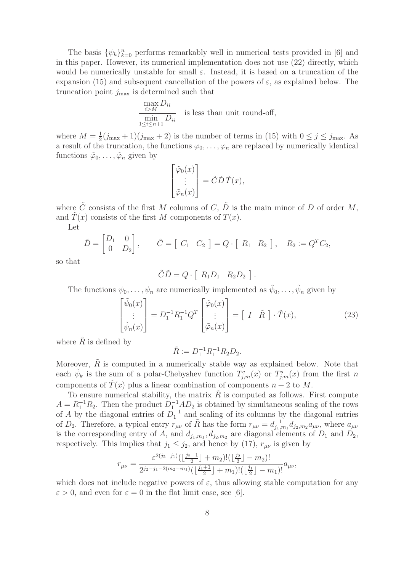The basis  $\{\psi_k\}_{k=0}^n$  performs remarkably well in numerical tests provided in [6] and in this paper. However, its numerical implementation does not use (22) directly, which would be numerically unstable for small  $\varepsilon$ . Instead, it is based on a truncation of the expansion (15) and subsequent cancellation of the powers of  $\varepsilon$ , as explained below. The truncation point  $j_{\text{max}}$  is determined such that

$$
\frac{\max\limits_{i>M} D_{ii}}{\min\limits_{1 \leq i \leq n+1} D_{ii}}
$$
 is less than unit round-off,

where  $M=\frac{1}{2}$  $\frac{1}{2}(j_{\text{max}}+1)(j_{\text{max}}+2)$  is the number of terms in (15) with  $0 \le j \le j_{\text{max}}$ . As a result of the truncation, the functions  $\varphi_0, \ldots, \varphi_n$  are replaced by numerically identical functions  $\tilde{\varphi}_0, \ldots, \tilde{\varphi}_n$  given by

$$
\begin{bmatrix} \tilde{\varphi}_0(x) \\ \vdots \\ \tilde{\varphi}_n(x) \end{bmatrix} = \tilde{C}\tilde{D}\tilde{T}(x),
$$

where  $\tilde{C}$  consists of the first M columns of C,  $\tilde{D}$  is the main minor of D of order M, and  $T(x)$  consists of the first M components of  $T(x)$ .

Let

$$
\tilde{D} = \begin{bmatrix} D_1 & 0 \\ 0 & D_2 \end{bmatrix}, \qquad \tilde{C} = \begin{bmatrix} C_1 & C_2 \end{bmatrix} = Q \cdot \begin{bmatrix} R_1 & R_2 \end{bmatrix}, \quad R_2 := Q^T C_2,
$$

so that

$$
\tilde{C}\tilde{D} = Q \cdot [ R_1 D_1 R_2 D_2 ].
$$

The functions  $\psi_0, \ldots, \psi_n$  are numerically implemented as  $\tilde{\psi}_0, \ldots, \tilde{\psi}_n$  given by

$$
\begin{bmatrix}\n\tilde{\psi}_0(x) \\
\vdots \\
\tilde{\psi}_n(x)\n\end{bmatrix} = D_1^{-1} R_1^{-1} Q^T \begin{bmatrix}\n\tilde{\varphi}_0(x) \\
\vdots \\
\tilde{\varphi}_n(x)\n\end{bmatrix} = \begin{bmatrix}\nI & \tilde{R}\n\end{bmatrix} \cdot \tilde{T}(x),\n\tag{23}
$$

where  $\tilde{R}$  is defined by

$$
\tilde{R} := D_1^{-1} R_1^{-1} R_2 D_2.
$$

Moreover,  $R$  is computed in a numerically stable way as explained below. Note that each  $\tilde{\psi}_k$  is the sum of a polar-Chebyshev function  $T^c_{j,m}(x)$  or  $T^s_{j,m}(x)$  from the first n components of  $\tilde{T}(x)$  plus a linear combination of components  $n + 2$  to M.

To ensure numerical stability, the matrix  $R$  is computed as follows. First compute  $A = R_1^{-1}R_2$ . Then the product  $D_1^{-1}AD_2$  is obtained by simultaneous scaling of the rows of A by the diagonal entries of  $D_1^{-1}$  and scaling of its columns by the diagonal entries of  $D_2$ . Therefore, a typical entry  $r_{\mu\nu}$  of  $\tilde{R}$  has the form  $r_{\mu\nu} = d_{j_1,m_1}^{-1} d_{j_2,m_2} a_{\mu\nu}$ , where  $a_{\mu\nu}$ is the corresponding entry of A, and  $d_{j_1,m_1}, d_{j_2,m_2}$  are diagonal elements of  $D_1$  and  $D_2$ , respectively. This implies that  $j_1 \leq j_2$ , and hence by (17),  $r_{\mu\nu}$  is given by

$$
r_{\mu\nu} = \frac{\varepsilon^{2(j_2-j_1)}\left(\left\lfloor \frac{j_2+1}{2} \right\rfloor + m_2\right)!\left(\left\lfloor \frac{j_2}{2} \right\rfloor - m_2\right)!}{2^{j_2-j_1-2(m_2-m_1)}\left(\left\lfloor \frac{j_1+1}{2} \right\rfloor + m_1\right)!\left(\left\lfloor \frac{j_1}{2} \right\rfloor - m_1\right)!} a_{\mu\nu},
$$

which does not include negative powers of  $\varepsilon$ , thus allowing stable computation for any  $\varepsilon > 0$ , and even for  $\varepsilon = 0$  in the flat limit case, see [6].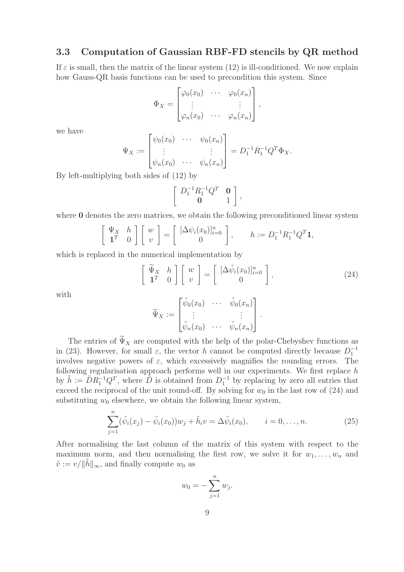### 3.3 Computation of Gaussian RBF-FD stencils by QR method

If  $\varepsilon$  is small, then the matrix of the linear system (12) is ill-conditioned. We now explain how Gauss-QR basis functions can be used to precondition this system. Since

$$
\Phi_X = \begin{bmatrix} \varphi_0(x_0) & \cdots & \varphi_0(x_n) \\ \vdots & & \vdots \\ \varphi_n(x_0) & \cdots & \varphi_n(x_n) \end{bmatrix},
$$

we have

$$
\Psi_X := \begin{bmatrix} \psi_0(x_0) & \cdots & \psi_0(x_n) \\ \vdots & & \vdots \\ \psi_n(x_0) & \cdots & \psi_n(x_n) \end{bmatrix} = D_1^{-1} R_1^{-1} Q^T \Phi_X.
$$

By left-multiplying both sides of (12) by

$$
\left[\begin{array}{cc}D_1^{-1}R_1^{-1}Q^T & \mathbf{0}\\ \mathbf{0} & 1\end{array}\right],
$$

where **0** denotes the zero matrices, we obtain the following preconditioned linear system

$$
\left[\begin{array}{cc} \Psi_X & h \\ \mathbf{1}^T & 0 \end{array}\right] \left[\begin{array}{c} w \\ v \end{array}\right] = \left[\begin{array}{c} [\Delta \psi_i(x_0)]_{i=0}^n \\ 0 \end{array}\right], \qquad h := D_1^{-1} R_1^{-1} Q^T \mathbf{1},
$$

which is replaced in the numerical implementation by

$$
\left[\begin{array}{cc} \widetilde{\Psi}_X & h \\ \mathbf{1}^T & 0 \end{array}\right] \left[\begin{array}{c} w \\ v \end{array}\right] = \left[\begin{array}{c} [\Delta \widetilde{\psi}_i(x_0)]_{i=0}^n \\ 0 \end{array}\right],\tag{24}
$$

with

$$
\widetilde{\Psi}_X := \begin{bmatrix} \widetilde{\psi}_0(x_0) & \cdots & \widetilde{\psi}_0(x_n) \\ \vdots & & \vdots \\ \widetilde{\psi}_n(x_0) & \cdots & \widetilde{\psi}_n(x_n) \end{bmatrix}.
$$

The entries of  $\widetilde{\Psi}_X$  are computed with the help of the polar-Chebyshev functions as in (23). However, for small  $\varepsilon$ , the vector h cannot be computed directly because  $D_1^{-1}$ involves negative powers of  $\varepsilon$ , which excessively magnifies the rounding errors. The following regularisation approach performs well in our experiments. We first replace h by  $\tilde{h} := \tilde{D} R_1^{-1} Q^T$ , where  $\tilde{D}$  is obtained from  $D_1^{-1}$  by replacing by zero all entries that exceed the reciprocal of the unit round-off. By solving for  $w_0$  in the last row of (24) and substituting  $w_0$  elsewhere, we obtain the following linear system,

$$
\sum_{j=1}^{n} (\tilde{\psi}_i(x_j) - \tilde{\psi}_i(x_0)) w_j + \tilde{h}_i v = \Delta \tilde{\psi}_i(x_0), \qquad i = 0, \dots, n.
$$
 (25)

After normalising the last column of the matrix of this system with respect to the maximum norm, and then normalising the first row, we solve it for  $w_1, \ldots, w_n$  and  $\tilde{v} := v / ||\tilde{h}||_{\infty}$ , and finally compute  $w_0$  as

$$
w_0 = -\sum_{j=1}^n w_j.
$$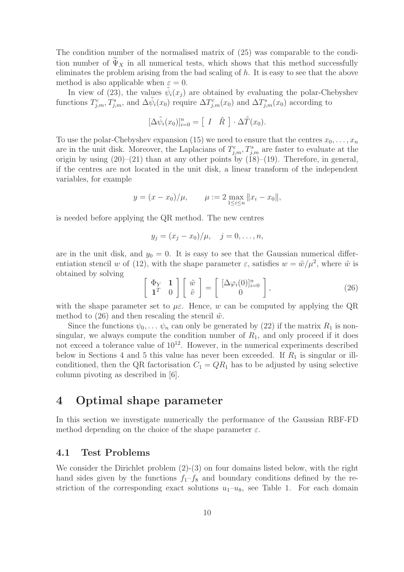The condition number of the normalised matrix of (25) was comparable to the condition number of  $\Psi_X$  in all numerical tests, which shows that this method successfully eliminates the problem arising from the bad scaling of  $h$ . It is easy to see that the above method is also applicable when  $\varepsilon = 0$ .

In view of (23), the values  $\tilde{\psi}_i(x_j)$  are obtained by evaluating the polar-Chebyshev functions  $T_{j,m}^c, T_{j,m}^s$ , and  $\Delta \tilde{\psi}_i(x_0)$  require  $\Delta T_{j,m}^c(x_0)$  and  $\Delta T_{j,m}^s(x_0)$  according to

$$
[\Delta \tilde{\psi}_i(x_0)]_{i=0}^n = [I \quad \tilde{R}] \cdot \Delta \tilde{T}(x_0).
$$

To use the polar-Chebyshev expansion (15) we need to ensure that the centres  $x_0, \ldots, x_n$ are in the unit disk. Moreover, the Laplacians of  $T_{j,m}^c, T_{j,m}^s$  are faster to evaluate at the origin by using  $(20)$ – $(21)$  than at any other points by  $(18)$ – $(19)$ . Therefore, in general, if the centres are not located in the unit disk, a linear transform of the independent variables, for example

$$
y = (x - x_0)/\mu,
$$
  $\mu := 2 \max_{1 \le i \le n} ||x_i - x_0||,$ 

is needed before applying the QR method. The new centres

$$
y_j = (x_j - x_0)/\mu, \quad j = 0, \ldots, n,
$$

are in the unit disk, and  $y_0 = 0$ . It is easy to see that the Gaussian numerical differentiation stencil w of (12), with the shape parameter  $\varepsilon$ , satisfies  $w = \tilde{w}/\mu^2$ , where  $\tilde{w}$  is obtained by solving

$$
\left[\begin{array}{cc} \Phi_Y & \mathbf{1} \\ \mathbf{1}^T & 0 \end{array}\right] \left[\begin{array}{c} \tilde{w} \\ \tilde{v} \end{array}\right] = \left[\begin{array}{c} [\Delta \varphi_i(0)]_{i=0}^n \\ 0 \end{array}\right],\tag{26}
$$

with the shape parameter set to  $\mu \varepsilon$ . Hence, w can be computed by applying the QR method to (26) and then rescaling the stencil  $\tilde{w}$ .

Since the functions  $\psi_0, \ldots, \psi_n$  can only be generated by (22) if the matrix  $R_1$  is nonsingular, we always compute the condition number of  $R_1$ , and only proceed if it does not exceed a tolerance value of  $10^{12}$ . However, in the numerical experiments described below in Sections 4 and 5 this value has never been exceeded. If  $R_1$  is singular or illconditioned, then the QR factorisation  $C_1 = QR_1$  has to be adjusted by using selective column pivoting as described in [6].

# 4 Optimal shape parameter

In this section we investigate numerically the performance of the Gaussian RBF-FD method depending on the choice of the shape parameter  $\varepsilon$ .

#### 4.1 Test Problems

We consider the Dirichlet problem  $(2)-(3)$  on four domains listed below, with the right hand sides given by the functions  $f_1-f_8$  and boundary conditions defined by the restriction of the corresponding exact solutions  $u_1-u_8$ , see Table 1. For each domain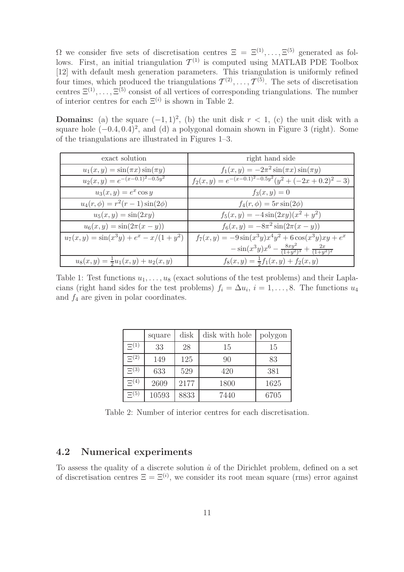$\Omega$  we consider five sets of discretisation centres  $\Xi = \Xi^{(1)}, \ldots, \Xi^{(5)}$  generated as follows. First, an initial triangulation  $\mathcal{T}^{(1)}$  is computed using MATLAB PDE Toolbox [12] with default mesh generation parameters. This triangulation is uniformly refined four times, which produced the triangulations  $\mathcal{T}^{(2)}, \ldots, \mathcal{T}^{(5)}$ . The sets of discretisation centres  $\Xi^{(1)}, \ldots, \Xi^{(5)}$  consist of all vertices of corresponding triangulations. The number of interior centres for each  $\Xi^{(i)}$  is shown in Table 2.

**Domains:** (a) the square  $(-1, 1)^2$ , (b) the unit disk  $r < 1$ , (c) the unit disk with a square hole  $(-0.4, 0.4)^2$ , and (d) a polygonal domain shown in Figure 3 (right). Some of the triangulations are illustrated in Figures 1–3.

| exact solution                              | right hand side                                                   |
|---------------------------------------------|-------------------------------------------------------------------|
| $u_1(x,y) = \sin(\pi x) \sin(\pi y)$        | $f_1(x,y) = -2\pi^2 \sin(\pi x) \sin(\pi y)$                      |
| $u_2(x,y) = e^{-(x-0.1)^2 - 0.5y^2}$        | $f_2(x,y) = e^{-(x-0.1)^2 - 0.5y^2}(y^2 + (-2x+0.2)^2 - 3)$       |
| $u_3(x,y) = e^x \cos y$                     | $f_3(x,y) = 0$                                                    |
| $u_4(r,\phi) = r^2(r-1)\sin(2\phi)$         | $f_4(r,\phi) = 5r\sin(2\phi)$                                     |
| $u_5(x, y) = \sin(2xy)$                     | $f_5(x,y) = -4\sin(2xy)(x^2+y^2)$                                 |
| $u_6(x, y) = \sin(2\pi(x - y))$             | $f_6(x,y) = -8\pi^2 \sin(2\pi(x-y))$                              |
| $u_7(x,y) = \sin(x^3y) + e^x - x/(1+y^2)$   | $f_7(x,y) = -9\sin(x^3y)x^4y^2 + 6\cos(x^3y)xy + e^x$             |
|                                             | $-\sin(x^3y)x^6 - \frac{8xy^2}{(1+y^2)^3} + \frac{2x}{(1+y^2)^2}$ |
| $u_8(x,y) = \frac{1}{2}u_1(x,y) + u_2(x,y)$ | $f_8(x,y) = \frac{1}{2}f_1(x,y) + f_2(x,y)$                       |

Table 1: Test functions  $u_1, \ldots, u_8$  (exact solutions of the test problems) and their Laplacians (right hand sides for the test problems)  $f_i = \Delta u_i$ ,  $i = 1, \ldots, 8$ . The functions  $u_4$ and  $f_4$  are given in polar coordinates.

|             | square | disk | disk with hole | polygon |
|-------------|--------|------|----------------|---------|
| $\Xi^{(1)}$ | 33     | 28   | 15             | 15      |
| $\Xi^{(2)}$ | 149    | 125  | 90             | 83      |
| $\Xi^{(3)}$ | 633    | 529  | 420            | 381     |
| $\Xi^{(4)}$ | 2609   | 2177 | 1800           | 1625    |
| $\Xi^{(5)}$ | 10593  | 8833 | 7440           | 6705    |

Table 2: Number of interior centres for each discretisation.

### 4.2 Numerical experiments

To assess the quality of a discrete solution  $\hat{u}$  of the Dirichlet problem, defined on a set of discretisation centres  $\Xi = \Xi^{(i)}$ , we consider its root mean square (rms) error against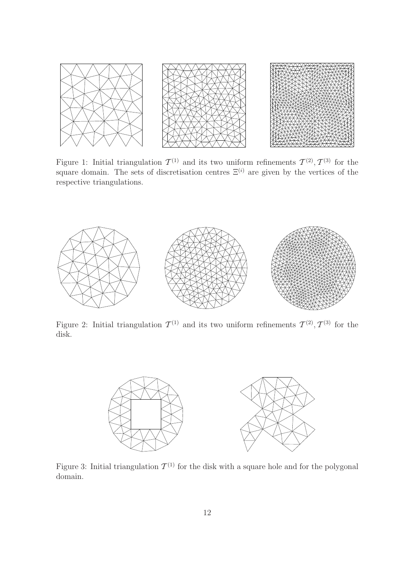

Figure 1: Initial triangulation  $\mathcal{T}^{(1)}$  and its two uniform refinements  $\mathcal{T}^{(2)}$ ,  $\mathcal{T}^{(3)}$  for the square domain. The sets of discretisation centres  $\Xi^{(i)}$  are given by the vertices of the respective triangulations.



Figure 2: Initial triangulation  $\mathcal{T}^{(1)}$  and its two uniform refinements  $\mathcal{T}^{(2)}$ ,  $\mathcal{T}^{(3)}$  for the disk.



Figure 3: Initial triangulation  $\mathcal{T}^{(1)}$  for the disk with a square hole and for the polygonal domain.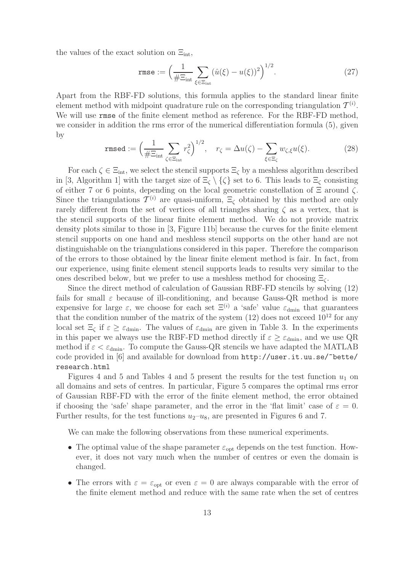the values of the exact solution on  $\Xi_{\text{int}}$ ,

$$
\text{rmse} := \Big(\frac{1}{\#\Xi_{\text{int}}} \sum_{\xi \in \Xi_{\text{int}}} (\hat{u}(\xi) - u(\xi))^2\Big)^{1/2}.\tag{27}
$$

Apart from the RBF-FD solutions, this formula applies to the standard linear finite element method with midpoint quadrature rule on the corresponding triangulation  $\mathcal{T}^{(i)}$ . We will use rmse of the finite element method as reference. For the RBF-FD method, we consider in addition the rms error of the numerical differentiation formula (5), given by

$$
\text{rmsed} := \left(\frac{1}{\#\Xi_{\text{int}}} \sum_{\zeta \in \Xi_{\text{int}}} r_{\zeta}^2\right)^{1/2}, \quad r_{\zeta} = \Delta u(\zeta) - \sum_{\xi \in \Xi_{\zeta}} w_{\zeta, \xi} u(\xi). \tag{28}
$$

For each  $\zeta \in \Xi_{\text{int}}$ , we select the stencil supports  $\Xi_{\zeta}$  by a meshless algorithm described in [3, Algorithm 1] with the target size of  $\Xi_{\zeta} \setminus {\zeta}$  set to 6. This leads to  $\Xi_{\zeta}$  consisting of either 7 or 6 points, depending on the local geometric constellation of  $\Xi$  around  $\zeta$ . Since the triangulations  $\mathcal{T}^{(i)}$  are quasi-uniform,  $\Xi_{\zeta}$  obtained by this method are only rarely different from the set of vertices of all triangles sharing  $\zeta$  as a vertex, that is the stencil supports of the linear finite element method. We do not provide matrix density plots similar to those in [3, Figure 11b] because the curves for the finite element stencil supports on one hand and meshless stencil supports on the other hand are not distinguishable on the triangulations considered in this paper. Therefore the comparison of the errors to those obtained by the linear finite element method is fair. In fact, from our experience, using finite element stencil supports leads to results very similar to the ones described below, but we prefer to use a meshless method for choosing  $\Xi_{\zeta}$ .

Since the direct method of calculation of Gaussian RBF-FD stencils by solving (12) fails for small  $\varepsilon$  because of ill-conditioning, and because Gauss-QR method is more expensive for large  $\varepsilon$ , we choose for each set  $\Xi^{(i)}$  a 'safe' value  $\varepsilon_{\text{dmin}}$  that guarantees that the condition number of the matrix of the system  $(12)$  does not exceed  $10^{12}$  for any local set  $\Xi_{\zeta}$  if  $\varepsilon \geq \varepsilon_{\text{dmin}}$ . The values of  $\varepsilon_{\text{dmin}}$  are given in Table 3. In the experiments in this paper we always use the RBF-FD method directly if  $\varepsilon \geq \varepsilon_{\text{dmin}}$ , and we use QR method if  $\varepsilon < \varepsilon_{\text{dmin}}$ . To compute the Gauss-QR stencils we have adapted the MATLAB code provided in [6] and available for download from http://user.it.uu.se/~bette/ research.html

Figures 4 and 5 and Tables 4 and 5 present the results for the test function  $u_1$  on all domains and sets of centres. In particular, Figure 5 compares the optimal rms error of Gaussian RBF-FD with the error of the finite element method, the error obtained if choosing the 'safe' shape parameter, and the error in the 'flat limit' case of  $\varepsilon = 0$ . Further results, for the test functions  $u_2-u_8$ , are presented in Figures 6 and 7.

We can make the following observations from these numerical experiments.

- The optimal value of the shape parameter  $\varepsilon_{opt}$  depends on the test function. However, it does not vary much when the number of centres or even the domain is changed.
- The errors with  $\varepsilon = \varepsilon_{\text{opt}}$  or even  $\varepsilon = 0$  are always comparable with the error of the finite element method and reduce with the same rate when the set of centres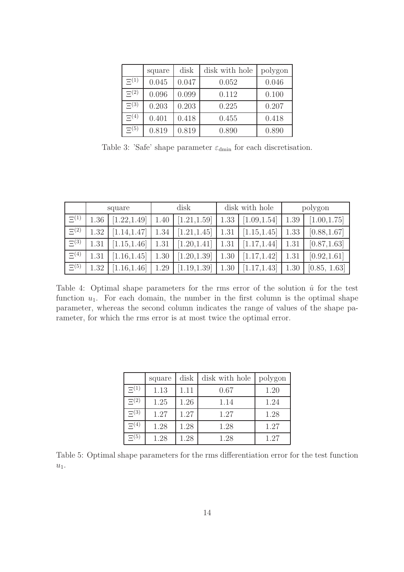|             | square | disk  | disk with hole | polygon |
|-------------|--------|-------|----------------|---------|
| $\Xi^{(1)}$ | 0.045  | 0.047 | 0.052          | 0.046   |
| $\Xi^{(2)}$ | 0.096  | 0.099 | 0.112          | 0.100   |
| $\Xi(3)$    | 0.203  | 0.203 | 0.225          | 0.207   |
| $\Xi(4)$    | 0.401  | 0.418 | 0.455          | 0.418   |
| $\Xi^{(5)}$ | 0.819  | 0.819 | 0.890          | 0.890   |

Table 3: 'Safe' shape parameter  $\varepsilon_{\text{dmin}}$  for each discretisation.

|             |      | square       | disk |              | disk with hole |              | polygon |              |
|-------------|------|--------------|------|--------------|----------------|--------------|---------|--------------|
| $\Xi^{(1)}$ | 1.36 | [1.22, 1.49] | 1.40 | [1.21, 1.59] | 1.33           | [1.09, 1.54] | 1.39    | [1.00, 1.75] |
| $\Xi^{(2)}$ | 1.32 | [1.14, 1.47] | 1.34 | [1.21, 1.45] | 1.31           | [1.15, 1.45] | 1.33    | [0.88, 1.67] |
| $\Xi^{(3)}$ | 1.31 | [1.15, 1.46] | 1.31 | [1.20, 1.41] | 1.31           | [1.17, 1.44] | 1.31    | [0.87, 1.63] |
| $\Xi^{(4)}$ | 1.31 | [1.16, 1.45] | 1.30 | [1.20, 1.39] | 1.30           | [1.17, 1.42] | 1.31    | [0.92, 1.61] |
| $\Xi^{(5)}$ | 1.32 | [1.16, 1.46] | 1.29 | [1.19, 1.39] | 1.30           | [1.17, 1.43] | 1.30    | [0.85, 1.63] |

Table 4: Optimal shape parameters for the rms error of the solution  $\hat{u}$  for the test function  $u_1$ . For each domain, the number in the first column is the optimal shape parameter, whereas the second column indicates the range of values of the shape parameter, for which the rms error is at most twice the optimal error.

|             | square | disk | disk with hole | polygon |
|-------------|--------|------|----------------|---------|
| $\Xi^{(1)}$ | 1.13   | 1.11 | 0.67           | 1.20    |
| $\Xi^{(2)}$ | 1.25   | 1.26 | 1.14           | 1.24    |
| $\Xi^{(3)}$ | 1.27   | 1.27 | 1.27           | 1.28    |
| $\Xi^{(4)}$ | 1.28   | 1.28 | 1.28           | 1.27    |
| $\Xi(5)$    | 1.28   | 1.28 | 1.28           | 1.27    |

Table 5: Optimal shape parameters for the rms differentiation error for the test function  $u_1$ .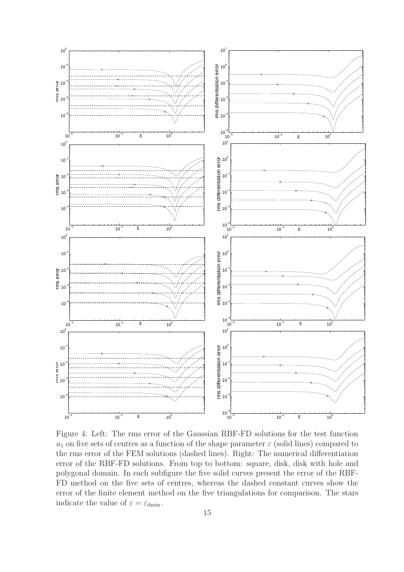

Figure 4: Left: The rms error of the Gaussian RBF-FD solutions for the test function  $u_1$  on five sets of centres as a function of the shape parameter  $\varepsilon$  (solid lines) compared to the rms error of the FEM solutions (dashed lines). Right: The numerical differentiation error of the RBF-FD solutions. From top to bottom: square, disk, disk with hole and polygonal domain. In each subfigure the five solid curves present the error of the RBF-FD method on the five sets of centres, whereas the dashed constant curves show the error of the finite element method on the five triangulations for comparison. The stars indicate the value of  $\varepsilon = \varepsilon_{\text{dmin}}$ .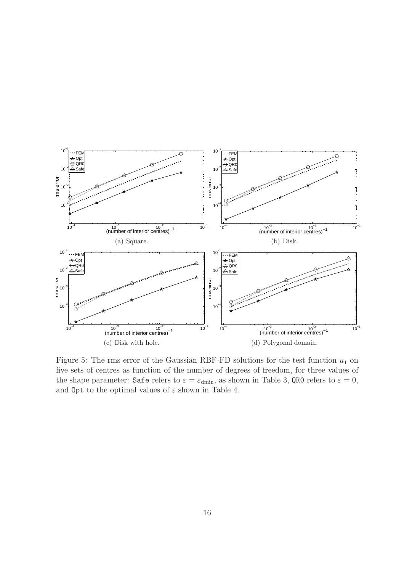

Figure 5: The rms error of the Gaussian RBF-FD solutions for the test function  $u_1$  on five sets of centres as function of the number of degrees of freedom, for three values of the shape parameter: Safe refers to  $\varepsilon = \varepsilon_{\text{dmin}}$ , as shown in Table 3, QR0 refers to  $\varepsilon = 0$ , and  $\text{Opt}$  to the optimal values of  $\varepsilon$  shown in Table 4.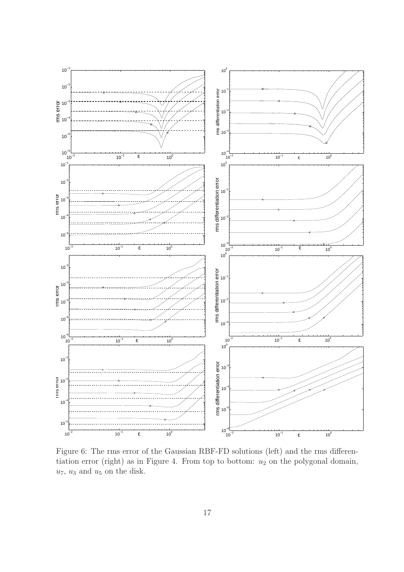

Figure 6: The rms error of the Gaussian RBF-FD solutions (left) and the rms differentiation error (right) as in Figure 4. From top to bottom:  $u_2$  on the polygonal domain,  $u_7$ ,  $u_3$  and  $u_5$  on the disk.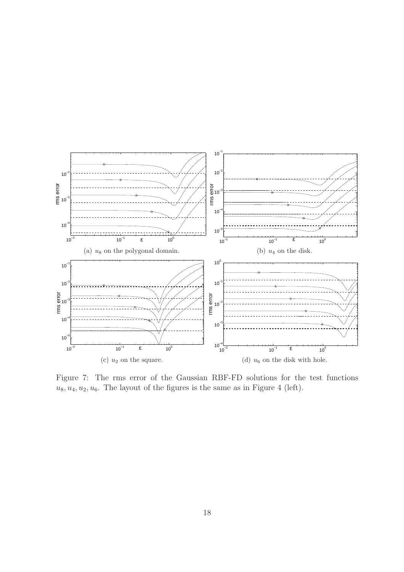

Figure 7: The rms error of the Gaussian RBF-FD solutions for the test functions  $u_8, u_4, u_2, u_6$ . The layout of the figures is the same as in Figure 4 (left).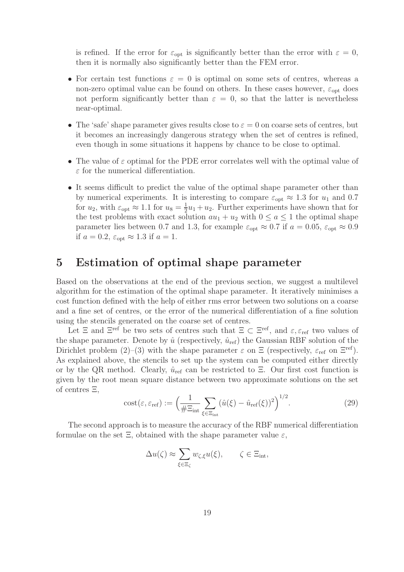is refined. If the error for  $\varepsilon_{opt}$  is significantly better than the error with  $\varepsilon = 0$ , then it is normally also significantly better than the FEM error.

- For certain test functions  $\varepsilon = 0$  is optimal on some sets of centres, whereas a non-zero optimal value can be found on others. In these cases however,  $\varepsilon_{opt}$  does not perform significantly better than  $\varepsilon = 0$ , so that the latter is nevertheless near-optimal.
- The 'safe' shape parameter gives results close to  $\varepsilon = 0$  on coarse sets of centres, but it becomes an increasingly dangerous strategy when the set of centres is refined, even though in some situations it happens by chance to be close to optimal.
- The value of  $\varepsilon$  optimal for the PDE error correlates well with the optimal value of  $\varepsilon$  for the numerical differentiation.
- It seems difficult to predict the value of the optimal shape parameter other than by numerical experiments. It is interesting to compare  $\varepsilon_{opt} \approx 1.3$  for  $u_1$  and 0.7 for  $u_2$ , with  $\varepsilon_{\text{opt}} \approx 1.1$  for  $u_8 = \frac{1}{2}$  $\frac{1}{2}u_1 + u_2$ . Further experiments have shown that for the test problems with exact solution  $au_1 + u_2$  with  $0 \le a \le 1$  the optimal shape parameter lies between 0.7 and 1.3, for example  $\varepsilon_{opt} \approx 0.7$  if  $a = 0.05$ ,  $\varepsilon_{opt} \approx 0.9$ if  $a = 0.2$ ,  $\varepsilon_{\rm opt} \approx 1.3$  if  $a = 1$ .

## 5 Estimation of optimal shape parameter

Based on the observations at the end of the previous section, we suggest a multilevel algorithm for the estimation of the optimal shape parameter. It iteratively minimises a cost function defined with the help of either rms error between two solutions on a coarse and a fine set of centres, or the error of the numerical differentiation of a fine solution using the stencils generated on the coarse set of centres.

Let  $\Xi$  and  $\Xi^{\text{ref}}$  be two sets of centres such that  $\Xi \subset \Xi^{\text{ref}}$ , and  $\varepsilon, \varepsilon_{\text{ref}}$  two values of the shape parameter. Denote by  $\hat{u}$  (respectively,  $\hat{u}_{ref}$ ) the Gaussian RBF solution of the Dirichlet problem (2)–(3) with the shape parameter  $\varepsilon$  on  $\Xi$  (respectively,  $\varepsilon_{\text{ref}}$  on  $\Xi^{\text{ref}}$ ). As explained above, the stencils to set up the system can be computed either directly or by the QR method. Clearly,  $\hat{u}_{ref}$  can be restricted to  $\Xi$ . Our first cost function is given by the root mean square distance between two approximate solutions on the set of centres Ξ,

$$
\text{cost}(\varepsilon, \varepsilon_{\text{ref}}) := \left(\frac{1}{\#\Xi_{\text{int}}}\sum_{\xi \in \Xi_{\text{int}}} (\hat{u}(\xi) - \hat{u}_{\text{ref}}(\xi))^2\right)^{1/2}.
$$
 (29)

The second approach is to measure the accuracy of the RBF numerical differentiation formulae on the set  $\Xi$ , obtained with the shape parameter value  $\varepsilon$ ,

$$
\Delta u(\zeta) \approx \sum_{\xi \in \Xi_{\zeta}} w_{\zeta,\xi} u(\xi), \qquad \zeta \in \Xi_{\text{int}},
$$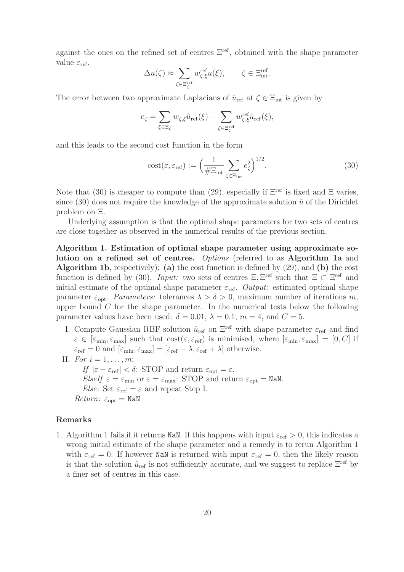against the ones on the refined set of centres Ξref, obtained with the shape parameter value  $\varepsilon_{\text{ref}}$ ,

$$
\Delta u(\zeta) \approx \sum_{\xi \in \Xi_{\zeta}^{\mathrm{ref}}} w^{\mathrm{ref}}_{\zeta, \xi} u(\xi), \qquad \zeta \in \Xi_{\mathrm{int}}^{\mathrm{ref}}.
$$

The error between two approximate Laplacians of  $\hat{u}_{ref}$  at  $\zeta \in \Xi_{int}$  is given by

$$
e_{\zeta} = \sum_{\xi \in \Xi_{\zeta}} w_{\zeta,\xi} \hat{u}_{\text{ref}}(\xi) - \sum_{\xi \in \Xi_{\zeta}^{\text{ref}}} w_{\zeta,\xi}^{\text{ref}} \hat{u}_{\text{ref}}(\xi),
$$

and this leads to the second cost function in the form

$$
\text{cost}(\varepsilon, \varepsilon_{\text{ref}}) := \left(\frac{1}{\#\Xi_{\text{int}}} \sum_{\zeta \in \Xi_{\text{int}}} e_{\zeta}^2\right)^{1/2}.\tag{30}
$$

Note that (30) is cheaper to compute than (29), especially if  $\Xi^{\text{ref}}$  is fixed and  $\Xi$  varies, since  $(30)$  does not require the knowledge of the approximate solution  $\hat{u}$  of the Dirichlet problem on Ξ.

Underlying assumption is that the optimal shape parameters for two sets of centres are close together as observed in the numerical results of the previous section.

Algorithm 1. Estimation of optimal shape parameter using approximate solution on a refined set of centres. *Options* (referred to as Algorithm 1a and **Algorithm 1b**, respectively): (a) the cost function is defined by  $(29)$ , and (b) the cost function is defined by (30). *Input:* two sets of centres  $\Xi$ ,  $\Xi^{\text{ref}}$  such that  $\Xi \subset \Xi^{\text{ref}}$  and initial estimate of the optimal shape parameter  $\varepsilon_{\text{ref}}$ . *Output:* estimated optimal shape parameter  $\varepsilon_{\text{opt}}$ . *Parameters:* tolerances  $\lambda > \delta > 0$ , maximum number of iterations m, upper bound  $C$  for the shape parameter. In the numerical tests below the following parameter values have been used:  $\delta = 0.01$ ,  $\lambda = 0.1$ ,  $m = 4$ , and  $C = 5$ .

- I. Compute Gaussian RBF solution  $\hat{u}_{ref}$  on  $\Xi^{\text{ref}}$  with shape parameter  $\varepsilon_{\text{ref}}$  and find  $\varepsilon \in [\varepsilon_{\min}, \varepsilon_{\max}]$  such that  $\text{cost}(\varepsilon, \varepsilon_{\text{ref}})$  is minimised, where  $[\varepsilon_{\min}, \varepsilon_{\max}] = [0, C]$  if  $\varepsilon_{\text{ref}} = 0$  and  $[\varepsilon_{\min}, \varepsilon_{\max}] = [\varepsilon_{\text{ref}} - \lambda, \varepsilon_{\text{ref}} + \lambda]$  otherwise.
- II. *For*  $i = 1, ..., m$ : *If*  $|\varepsilon - \varepsilon_{\text{ref}}| < \delta$ : STOP and return  $\varepsilon_{\text{opt}} = \varepsilon$ . *ElseIf*  $\varepsilon = \varepsilon_{\min}$  or  $\varepsilon = \varepsilon_{\max}$ : STOP and return  $\varepsilon_{\text{opt}} = \text{NaN}.$ *Else*: Set  $\varepsilon_{\text{ref}} = \varepsilon$  and repeat Step I.  $Return: \varepsilon_{\text{opt}} = \text{NaN}$

#### Remarks

1. Algorithm 1 fails if it returns NaN. If this happens with input  $\varepsilon_{\text{ref}} > 0$ , this indicates a wrong initial estimate of the shape parameter and a remedy is to rerun Algorithm 1 with  $\varepsilon_{\text{ref}} = 0$ . If however NaN is returned with input  $\varepsilon_{\text{ref}} = 0$ , then the likely reason is that the solution  $\hat{u}_{ref}$  is not sufficiently accurate, and we suggest to replace  $\Xi^{ref}$  by a finer set of centres in this case.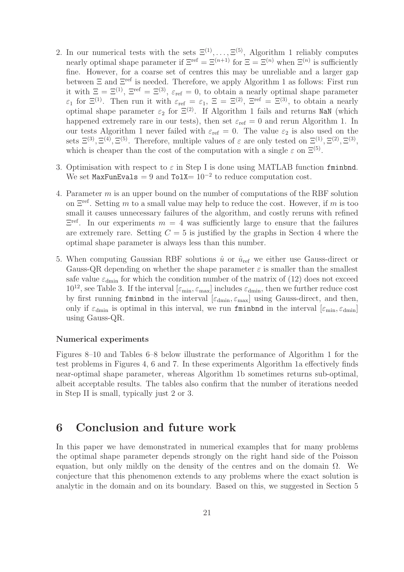- 2. In our numerical tests with the sets  $\Xi^{(1)}, \ldots, \Xi^{(5)}$ , Algorithm 1 reliably computes nearly optimal shape parameter if  $\Xi^{\text{ref}} = \Xi^{(n+1)}$  for  $\Xi = \Xi^{(n)}$  when  $\Xi^{(n)}$  is sufficiently fine. However, for a coarse set of centres this may be unreliable and a larger gap between  $\Xi$  and  $\Xi^{\text{ref}}$  is needed. Therefore, we apply Algorithm 1 as follows: First run it with  $\Xi = \Xi^{(1)}$ ,  $\Xi^{ref} = \Xi^{(3)}$ ,  $\varepsilon_{ref} = 0$ , to obtain a nearly optimal shape parameter  $\varepsilon_1$  for  $\Xi^{(1)}$ . Then run it with  $\varepsilon_{\text{ref}} = \varepsilon_1$ ,  $\Xi = \Xi^{(2)}$ ,  $\Xi^{\text{ref}} = \Xi^{(3)}$ , to obtain a nearly optimal shape parameter  $\varepsilon_2$  for  $\Xi^{(2)}$ . If Algorithm 1 fails and returns NaN (which happened extremely rare in our tests), then set  $\varepsilon_{\text{ref}} = 0$  and rerun Algorithm 1. In our tests Algorithm 1 never failed with  $\varepsilon_{\text{ref}} = 0$ . The value  $\varepsilon_2$  is also used on the sets  $\Xi^{(3)}, \Xi^{(4)}, \Xi^{(5)}$ . Therefore, multiple values of  $\varepsilon$  are only tested on  $\Xi^{(1)}, \Xi^{(2)}, \Xi^{(3)}$ , which is cheaper than the cost of the computation with a single  $\varepsilon$  on  $\Xi^{(5)}$ .
- 3. Optimisation with respect to  $\varepsilon$  in Step I is done using MATLAB function fminbnd. We set MaxFunEvals = 9 and TolX=  $10^{-2}$  to reduce computation cost.
- 4. Parameter m is an upper bound on the number of computations of the RBF solution on  $\Xi^{\text{ref}}$ . Setting m to a small value may help to reduce the cost. However, if m is too small it causes unnecessary failures of the algorithm, and costly reruns with refined  $\Xi^{\text{ref}}$ . In our experiments  $m = 4$  was sufficiently large to ensure that the failures are extremely rare. Setting  $C = 5$  is justified by the graphs in Section 4 where the optimal shape parameter is always less than this number.
- 5. When computing Gaussian RBF solutions  $\hat{u}$  or  $\hat{u}_{ref}$  we either use Gauss-direct or Gauss-QR depending on whether the shape parameter  $\varepsilon$  is smaller than the smallest safe value  $\varepsilon_{\text{dmin}}$  for which the condition number of the matrix of (12) does not exceed  $10^{12}$ , see Table 3. If the interval  $[\varepsilon_{\min}, \varepsilon_{\max}]$  includes  $\varepsilon_{\text{dmin}}$ , then we further reduce cost by first running fminbnd in the interval  $[\epsilon_{\text{dmin}}, \epsilon_{\text{max}}]$  using Gauss-direct, and then, only if  $\varepsilon_{\text{dmin}}$  is optimal in this interval, we run finishing in the interval  $[\varepsilon_{\text{min}}, \varepsilon_{\text{dmin}}]$ using Gauss-QR.

#### Numerical experiments

Figures 8–10 and Tables 6–8 below illustrate the performance of Algorithm 1 for the test problems in Figures 4, 6 and 7. In these experiments Algorithm 1a effectively finds near-optimal shape parameter, whereas Algorithm 1b sometimes returns sub-optimal, albeit acceptable results. The tables also confirm that the number of iterations needed in Step II is small, typically just 2 or 3.

### 6 Conclusion and future work

In this paper we have demonstrated in numerical examples that for many problems the optimal shape parameter depends strongly on the right hand side of the Poisson equation, but only mildly on the density of the centres and on the domain  $\Omega$ . We conjecture that this phenomenon extends to any problems where the exact solution is analytic in the domain and on its boundary. Based on this, we suggested in Section 5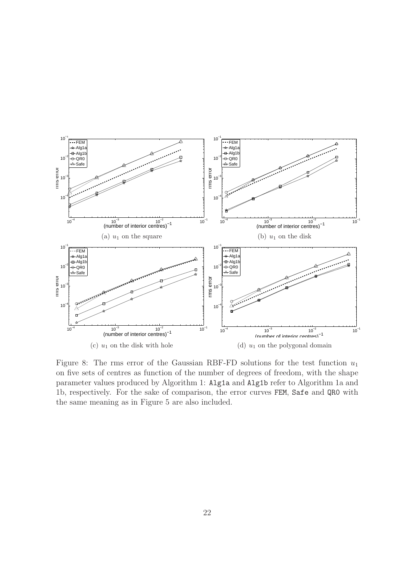

Figure 8: The rms error of the Gaussian RBF-FD solutions for the test function  $u_1$ on five sets of centres as function of the number of degrees of freedom, with the shape parameter values produced by Algorithm 1: Alg1a and Alg1b refer to Algorithm 1a and 1b, respectively. For the sake of comparison, the error curves FEM, Safe and QR0 with the same meaning as in Figure 5 are also included.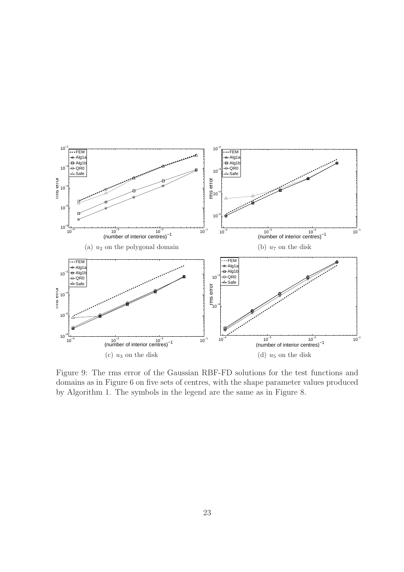

Figure 9: The rms error of the Gaussian RBF-FD solutions for the test functions and domains as in Figure 6 on five sets of centres, with the shape parameter values produced by Algorithm 1. The symbols in the legend are the same as in Figure 8.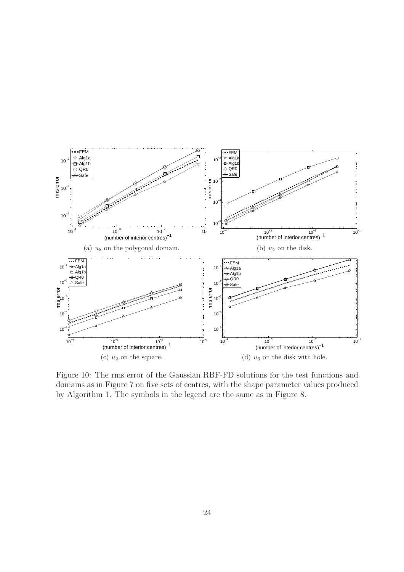

Figure 10: The rms error of the Gaussian RBF-FD solutions for the test functions and domains as in Figure 7 on five sets of centres, with the shape parameter values produced by Algorithm 1. The symbols in the legend are the same as in Figure 8.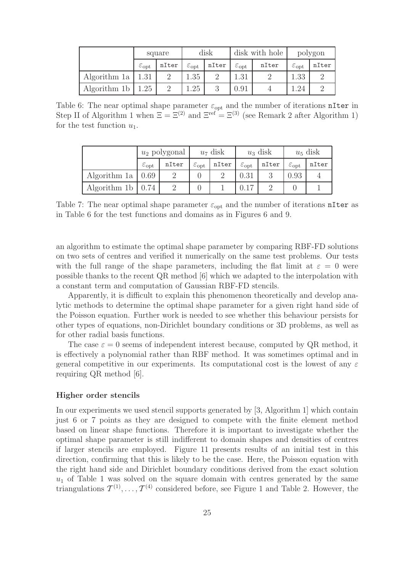|                       | square                  |       | disk                       |          | disk with hole             |       | polygon                    |       |
|-----------------------|-------------------------|-------|----------------------------|----------|----------------------------|-------|----------------------------|-------|
|                       | $\varepsilon_{\rm opt}$ | nIter | $\varepsilon_{\text{opt}}$ | nIter    | $\varepsilon_{\text{opt}}$ | nIter | $\varepsilon_{\text{opt}}$ | nIter |
| Algorithm 1a   $1.31$ |                         |       | 1.35                       |          | 1.31                       |       | 1.33                       |       |
| Algorithm 1b   $1.25$ |                         | റ     | $\ldots 25$                | $\Omega$ | 0.91                       |       | .24                        |       |

Table 6: The near optimal shape parameter  $\varepsilon_{opt}$  and the number of iterations nIter in Step II of Algorithm 1 when  $\Xi = \Xi^{(2)}$  and  $\Xi^{ref} = \Xi^{(3)}$  (see Remark 2 after Algorithm 1) for the test function  $u_1$ .

|                                 | $u_2$ polygonal            |       |                            | $u_7$ disk | $u_3$ disk              |       | $u_5$ disk              |       |
|---------------------------------|----------------------------|-------|----------------------------|------------|-------------------------|-------|-------------------------|-------|
|                                 | $\varepsilon_{\text{opt}}$ | nIter | $\varepsilon_{\text{opt}}$ | nIter      | $\varepsilon_{\rm opt}$ | nIter | $\varepsilon_{\rm opt}$ | nIter |
| Algorithm 1a   $0.69$           |                            |       |                            |            | 0.31                    |       | 0.93                    |       |
| Algorithm 1b $\vert 0.74 \vert$ |                            |       |                            |            |                         |       |                         |       |

Table 7: The near optimal shape parameter  $\varepsilon_{\text{opt}}$  and the number of iterations nIter as in Table 6 for the test functions and domains as in Figures 6 and 9.

an algorithm to estimate the optimal shape parameter by comparing RBF-FD solutions on two sets of centres and verified it numerically on the same test problems. Our tests with the full range of the shape parameters, including the flat limit at  $\varepsilon = 0$  were possible thanks to the recent QR method [6] which we adapted to the interpolation with a constant term and computation of Gaussian RBF-FD stencils.

Apparently, it is difficult to explain this phenomenon theoretically and develop analytic methods to determine the optimal shape parameter for a given right hand side of the Poisson equation. Further work is needed to see whether this behaviour persists for other types of equations, non-Dirichlet boundary conditions or 3D problems, as well as for other radial basis functions.

The case  $\varepsilon = 0$  seems of independent interest because, computed by QR method, it is effectively a polynomial rather than RBF method. It was sometimes optimal and in general competitive in our experiments. Its computational cost is the lowest of any  $\varepsilon$ requiring QR method [6].

#### Higher order stencils

In our experiments we used stencil supports generated by [3, Algorithm 1] which contain just 6 or 7 points as they are designed to compete with the finite element method based on linear shape functions. Therefore it is important to investigate whether the optimal shape parameter is still indifferent to domain shapes and densities of centres if larger stencils are employed. Figure 11 presents results of an initial test in this direction, confirming that this is likely to be the case. Here, the Poisson equation with the right hand side and Dirichlet boundary conditions derived from the exact solution  $u_1$  of Table 1 was solved on the square domain with centres generated by the same triangulations  $\mathcal{T}^{(1)}, \ldots, \mathcal{T}^{(4)}$  considered before, see Figure 1 and Table 2. However, the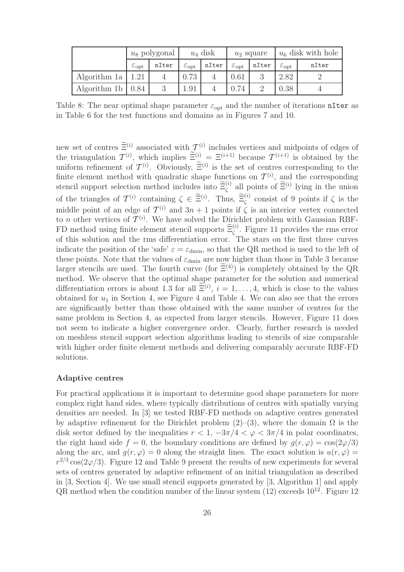|                           | $u_8$ polygonal            |       | $u_4$ disk                 |       | $u_2$ square            |       | $u_6$ disk with hole    |       |
|---------------------------|----------------------------|-------|----------------------------|-------|-------------------------|-------|-------------------------|-------|
|                           | $\varepsilon_{\text{opt}}$ | nIter | $\varepsilon_{\text{opt}}$ | nIter | $\varepsilon_{\rm opt}$ | nIter | $\varepsilon_{\rm opt}$ | nIter |
| Algorithm 1a   $1.21$     |                            |       | 0.73                       |       | 0.61                    |       | 2.82                    |       |
| Algorithm 1b $\vert$ 0.84 |                            |       | 1.91                       |       | 0.74                    |       | 0.38                    |       |

Table 8: The near optimal shape parameter  $\varepsilon_{opt}$  and the number of iterations nIter as in Table 6 for the test functions and domains as in Figures 7 and 10.

new set of centres  $\Xi^{(i)}$  associated with  $\mathcal{T}^{(i)}$  includes vertices and midpoints of edges of the triangulation  $\mathcal{T}^{(i)}$ , which implies  $\Xi^{(i)} = \Xi^{(i+1)}$  because  $\mathcal{T}^{(i+1)}$  is obtained by the uniform refinement of  $\mathcal{T}^{(i)}$ . Obviously,  $\Xi^{(i)}$  is the set of centres corresponding to the finite element method with quadratic shape functions on  $\mathcal{T}^{(i)}$ , and the corresponding stencil support selection method includes into  $\tilde{\Xi}_{\zeta}^{(i)}$  all points of  $\tilde{\Xi}^{(i)}$  lying in the union of the triangles of  $\mathcal{T}^{(i)}$  containing  $\zeta \in \widetilde{\Xi}^{(i)}$ . Thus,  $\widetilde{\Xi}_{\zeta}^{(i)}$  consist of 9 points if  $\zeta$  is the middle point of an edge of  $\mathcal{T}^{(i)}$  and  $3n + 1$  points if  $\zeta$  is an interior vertex connected to *n* other vertices of  $\mathcal{T}^{(i)}$ . We have solved the Dirichlet problem with Gaussian RBF-FD method using finite element stencil supports  $\tilde{\Xi}_{\zeta}^{(i)}$ . Figure 11 provides the rms error of this solution and the rms differentiation error. The stars on the first three curves indicate the position of the 'safe'  $\varepsilon = \varepsilon_{\text{dmin}}$ , so that the QR method is used to the left of these points. Note that the values of  $\varepsilon_{\text{dmin}}$  are now higher than those in Table 3 because larger stencils are used. The fourth curve (for  $\widetilde{\Xi}^{(4)}$ ) is completely obtained by the QR method. We observe that the optimal shape parameter for the solution and numerical differentiation errors is about 1.3 for all  $\Xi^{(i)}$ ,  $i = 1, \ldots, 4$ , which is close to the values obtained for  $u_1$  in Section 4, see Figure 4 and Table 4. We can also see that the errors are significantly better than those obtained with the same number of centres for the same problem in Section 4, as expected from larger stencils. However, Figure 11 does not seem to indicate a higher convergence order. Clearly, further research is needed on meshless stencil support selection algorithms leading to stencils of size comparable with higher order finite element methods and delivering comparably accurate RBF-FD solutions.

#### Adaptive centres

For practical applications it is important to determine good shape parameters for more complex right hand sides, where typically distributions of centres with spatially varying densities are needed. In [3] we tested RBF-FD methods on adaptive centres generated by adaptive refinement for the Dirichlet problem  $(2)-(3)$ , where the domain  $\Omega$  is the disk sector defined by the inequalities  $r < 1$ ,  $-3\pi/4 < \varphi < 3\pi/4$  in polar coordinates, the right hand side  $f = 0$ , the boundary conditions are defined by  $g(r, \varphi) = \cos(2\varphi/3)$ along the arc, and  $q(r, \varphi) = 0$  along the straight lines. The exact solution is  $u(r, \varphi) =$  $r^{2/3}\cos(2\varphi/3)$ . Figure 12 and Table 9 present the results of new experiments for several sets of centres generated by adaptive refinement of an initial triangulation as described in [3, Section 4]. We use small stencil supports generated by [3, Algorithm 1] and apply  $QR$  method when the condition number of the linear system  $(12)$  exceeds  $10^{12}$ . Figure 12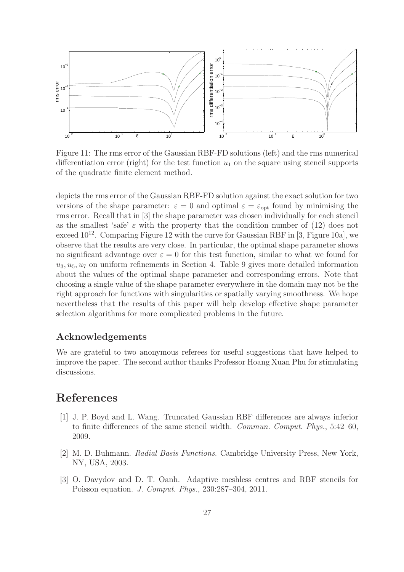

Figure 11: The rms error of the Gaussian RBF-FD solutions (left) and the rms numerical differentiation error (right) for the test function  $u_1$  on the square using stencil supports of the quadratic finite element method.

depicts the rms error of the Gaussian RBF-FD solution against the exact solution for two versions of the shape parameter:  $\varepsilon = 0$  and optimal  $\varepsilon = \varepsilon_{\text{opt}}$  found by minimising the rms error. Recall that in [3] the shape parameter was chosen individually for each stencil as the smallest 'safe'  $\varepsilon$  with the property that the condition number of (12) does not exceed  $10^{12}$ . Comparing Figure 12 with the curve for Gaussian RBF in [3, Figure 10a], we observe that the results are very close. In particular, the optimal shape parameter shows no significant advantage over  $\varepsilon = 0$  for this test function, similar to what we found for  $u_3, u_5, u_7$  on uniform refinements in Section 4. Table 9 gives more detailed information about the values of the optimal shape parameter and corresponding errors. Note that choosing a single value of the shape parameter everywhere in the domain may not be the right approach for functions with singularities or spatially varying smoothness. We hope nevertheless that the results of this paper will help develop effective shape parameter selection algorithms for more complicated problems in the future.

#### Acknowledgements

We are grateful to two anonymous referees for useful suggestions that have helped to improve the paper. The second author thanks Professor Hoang Xuan Phu for stimulating discussions.

# References

- [1] J. P. Boyd and L. Wang. Truncated Gaussian RBF differences are always inferior to finite differences of the same stencil width. *Commun. Comput. Phys.*, 5:42–60, 2009.
- [2] M. D. Buhmann. *Radial Basis Functions*. Cambridge University Press, New York, NY, USA, 2003.
- [3] O. Davydov and D. T. Oanh. Adaptive meshless centres and RBF stencils for Poisson equation. *J. Comput. Phys.*, 230:287–304, 2011.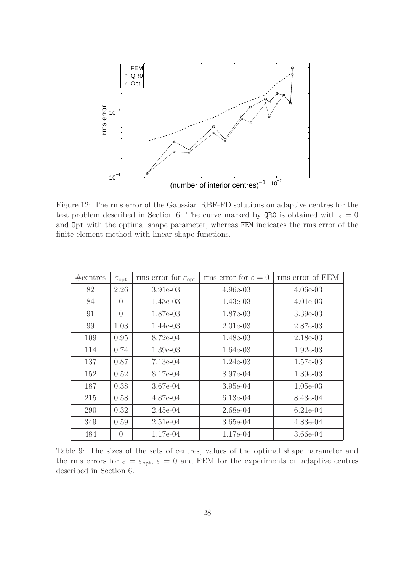

Figure 12: The rms error of the Gaussian RBF-FD solutions on adaptive centres for the test problem described in Section 6: The curve marked by QR0 is obtained with  $\varepsilon = 0$ and Opt with the optimal shape parameter, whereas FEM indicates the rms error of the finite element method with linear shape functions.

| #centres | $\varepsilon_{\rm opt}$ | rms error for $\varepsilon_{\text{opt}}$ | rms error for $\varepsilon = 0$ | rms error of FEM |
|----------|-------------------------|------------------------------------------|---------------------------------|------------------|
| 82       | 2.26                    | $3.91e-03$                               | $4.96e-03$                      | $4.06e-03$       |
| 84       | $\theta$                | $1.43e-03$                               | $1.43e-03$                      | $4.01e-03$       |
| 91       | $\theta$                | 1.87e-03                                 | 1.87e-03                        | $3.39e-03$       |
| 99       | 1.03                    | 1.44e-03                                 | $2.01e-03$                      | 2.87e-03         |
| 109      | 0.95                    | 8.72e-04                                 | 1.48e-03                        | $2.18e-03$       |
| 114      | 0.74                    | $1.39e-03$                               | 1.64e-03                        | $1.92e-03$       |
| 137      | 0.87                    | $7.13e-04$                               | $1.24e-03$                      | $1.57e-03$       |
| 152      | 0.52                    | 8.17e-04                                 | 8.97e-04                        | $1.39e-03$       |
| 187      | 0.38                    | 3.67e-04                                 | $3.95e-04$                      | $1.05e-03$       |
| 215      | 0.58                    | $4.87e-04$                               | $6.13e-04$                      | 8.43e-04         |
| 290      | 0.32                    | $2.45e-04$                               | $2.68e-04$                      | $6.21e-04$       |
| 349      | 0.59                    | $2.51e-04$                               | $3.65e-04$                      | $4.83e-04$       |
| 484      | $\theta$                | 1.17e-04                                 | 1.17e-04                        | $3.66e-04$       |

Table 9: The sizes of the sets of centres, values of the optimal shape parameter and the rms errors for  $\varepsilon = \varepsilon_{opt}$ ,  $\varepsilon = 0$  and FEM for the experiments on adaptive centres described in Section 6.